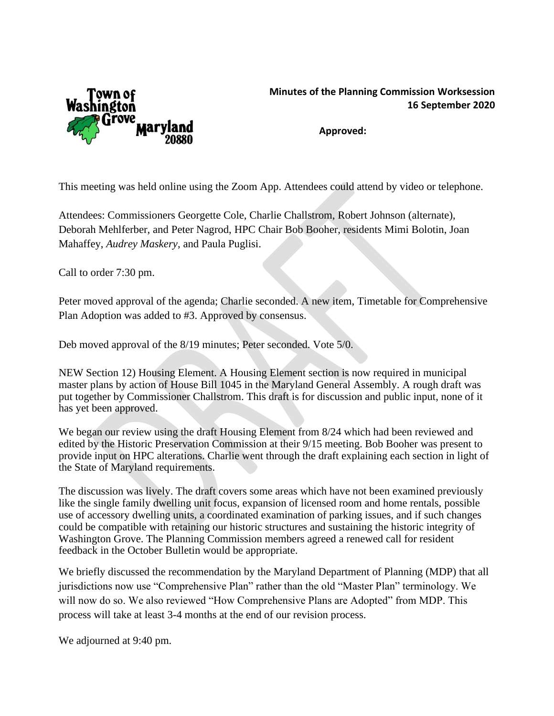

## **Minutes of the Planning Commission Worksession 16 September 2020**

**Approved:**

This meeting was held online using the Zoom App. Attendees could attend by video or telephone.

Attendees: Commissioners Georgette Cole, Charlie Challstrom, Robert Johnson (alternate), Deborah Mehlferber, and Peter Nagrod, HPC Chair Bob Booher, residents Mimi Bolotin, Joan Mahaffey, *Audrey Maskery*, and Paula Puglisi.

Call to order 7:30 pm.

Peter moved approval of the agenda; Charlie seconded. A new item, Timetable for Comprehensive Plan Adoption was added to #3. Approved by consensus.

Deb moved approval of the 8/19 minutes; Peter seconded. Vote 5/0.

NEW Section 12) Housing Element. A Housing Element section is now required in municipal master plans by action of House Bill 1045 in the Maryland General Assembly. A rough draft was put together by Commissioner Challstrom. This draft is for discussion and public input, none of it has yet been approved.

We began our review using the draft Housing Element from 8/24 which had been reviewed and edited by the Historic Preservation Commission at their 9/15 meeting. Bob Booher was present to provide input on HPC alterations. Charlie went through the draft explaining each section in light of the State of Maryland requirements.

The discussion was lively. The draft covers some areas which have not been examined previously like the single family dwelling unit focus, expansion of licensed room and home rentals, possible use of accessory dwelling units, a coordinated examination of parking issues, and if such changes could be compatible with retaining our historic structures and sustaining the historic integrity of Washington Grove. The Planning Commission members agreed a renewed call for resident feedback in the October Bulletin would be appropriate.

We briefly discussed the recommendation by the Maryland Department of Planning (MDP) that all jurisdictions now use "Comprehensive Plan" rather than the old "Master Plan" terminology. We will now do so. We also reviewed "How Comprehensive Plans are Adopted" from MDP. This process will take at least 3-4 months at the end of our revision process.

We adjourned at 9:40 pm.